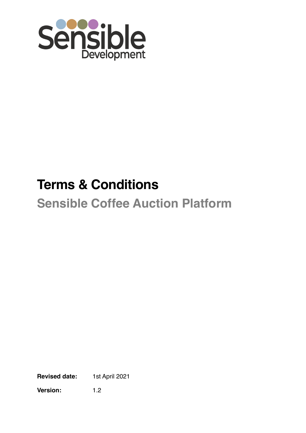

# **Terms & Conditions Sensible Coffee Auction Platform**

**Revised date:** 1st April 2021

**Version:** 1.2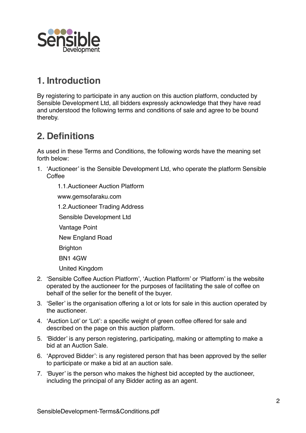

### **1. Introduction**

By registering to participate in any auction on this auction platform, conducted by Sensible Development Ltd, all bidders expressly acknowledge that they have read and understood the following terms and conditions of sale and agree to be bound thereby.

### **2. Definitions**

As used in these Terms and Conditions, the following words have the meaning set forth below:

- 1. 'Auctioneer' is the Sensible Development Ltd, who operate the platform Sensible Coffee
	- 1.1.Auctioneer Auction Platform

www.gemsofaraku.com

1.2.Auctioneer Trading Address

Sensible Development Ltd

- Vantage Point
- New England Road
- **Brighton**

BN1 4GW

United Kingdom

- 2. 'Sensible Coffee Auction Platform', 'Auction Platform' or 'Platform' is the website operated by the auctioneer for the purposes of facilitating the sale of coffee on behalf of the seller for the benefit of the buyer.
- 3. 'Seller' is the organisation offering a lot or lots for sale in this auction operated by the auctioneer.
- 4. 'Auction Lot' or 'Lot': a specific weight of green coffee offered for sale and described on the page on this auction platform.
- 5. 'Bidder' is any person registering, participating, making or attempting to make a bid at an Auction Sale.
- 6. 'Approved Bidder': is any registered person that has been approved by the seller to participate or make a bid at an auction sale.
- 7. 'Buyer' is the person who makes the highest bid accepted by the auctioneer, including the principal of any Bidder acting as an agent.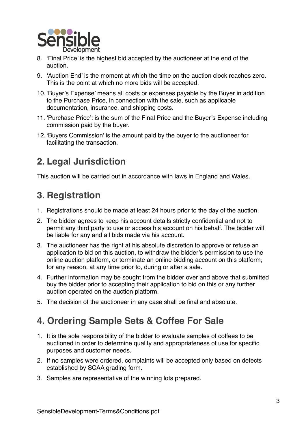

- 8. 'Final Price' is the highest bid accepted by the auctioneer at the end of the auction.
- 9. 'Auction End' is the moment at which the time on the auction clock reaches zero. This is the point at which no more bids will be accepted.
- 10. 'Buyer's Expense' means all costs or expenses payable by the Buyer in addition to the Purchase Price, in connection with the sale, such as applicable documentation, insurance, and shipping costs.
- 11. 'Purchase Price': is the sum of the Final Price and the Buyer's Expense including commission paid by the buyer.
- 12. 'Buyers Commission' is the amount paid by the buyer to the auctioneer for facilitating the transaction.

# **2. Legal Jurisdiction**

This auction will be carried out in accordance with laws in England and Wales.

# **3. Registration**

- 1. Registrations should be made at least 24 hours prior to the day of the auction.
- 2. The bidder agrees to keep his account details strictly confidential and not to permit any third party to use or access his account on his behalf. The bidder will be liable for any and all bids made via his account.
- 3. The auctioneer has the right at his absolute discretion to approve or refuse an application to bid on this auction, to withdraw the bidder's permission to use the online auction platform, or terminate an online bidding account on this platform; for any reason, at any time prior to, during or after a sale.
- 4. Further information may be sought from the bidder over and above that submitted buy the bidder prior to accepting their application to bid on this or any further auction operated on the auction platform.
- 5. The decision of the auctioneer in any case shall be final and absolute.

## **4. Ordering Sample Sets & Coffee For Sale**

- 1. It is the sole responsibility of the bidder to evaluate samples of coffees to be auctioned in order to determine quality and appropriateness of use for specific purposes and customer needs.
- 2. If no samples were ordered, complaints will be accepted only based on defects established by SCAA grading form.
- 3. Samples are representative of the winning lots prepared.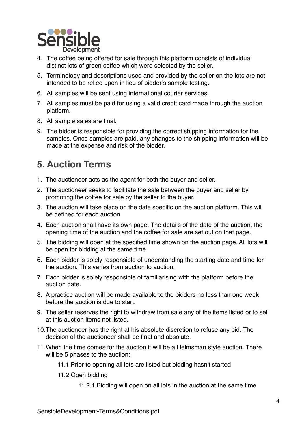

- 4. The coffee being offered for sale through this platform consists of individual distinct lots of green coffee which were selected by the seller.
- 5. Terminology and descriptions used and provided by the seller on the lots are not intended to be relied upon in lieu of bidder's sample testing.
- 6. All samples will be sent using international courier services.
- 7. All samples must be paid for using a valid credit card made through the auction platform.
- 8. All sample sales are final.
- 9. The bidder is responsible for providing the correct shipping information for the samples. Once samples are paid, any changes to the shipping information will be made at the expense and risk of the bidder.

## **5. Auction Terms**

- 1. The auctioneer acts as the agent for both the buyer and seller.
- 2. The auctioneer seeks to facilitate the sale between the buyer and seller by promoting the coffee for sale by the seller to the buyer.
- 3. The auction will take place on the date specific on the auction platform. This will be defined for each auction.
- 4. Each auction shall have its own page. The details of the date of the auction, the opening time of the auction and the coffee for sale are set out on that page.
- 5. The bidding will open at the specified time shown on the auction page. All lots will be open for bidding at the same time.
- 6. Each bidder is solely responsible of understanding the starting date and time for the auction. This varies from auction to auction.
- 7. Each bidder is solely responsible of familiarising with the platform before the auction date.
- 8. A practice auction will be made available to the bidders no less than one week before the auction is due to start.
- 9. The seller reserves the right to withdraw from sale any of the items listed or to sell at this auction items not listed.
- 10.The auctioneer has the right at his absolute discretion to refuse any bid. The decision of the auctioneer shall be final and absolute.
- 11.When the time comes for the auction it will be a Helmsman style auction. There will be 5 phases to the auction:
	- 11.1.Prior to opening all lots are listed but bidding hasn't started
	- 11.2.Open bidding
		- 11.2.1.Bidding will open on all lots in the auction at the same time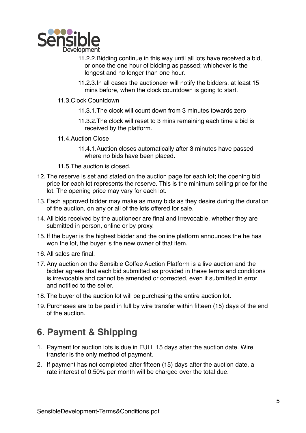

- 11.2.2.Bidding continue in this way until all lots have received a bid, or once the one hour of bidding as passed; whichever is the longest and no longer than one hour.
- 11.2.3.In all cases the auctioneer will notify the bidders, at least 15 mins before, when the clock countdown is going to start.
- 11.3.Clock Countdown
	- 11.3.1.The clock will count down from 3 minutes towards zero
	- 11.3.2.The clock will reset to 3 mins remaining each time a bid is received by the platform.
- 11.4.Auction Close
	- 11.4.1.Auction closes automatically after 3 minutes have passed where no bids have been placed.
- 11.5.The auction is closed.
- 12. The reserve is set and stated on the auction page for each lot; the opening bid price for each lot represents the reserve. This is the minimum selling price for the lot. The opening price may vary for each lot.
- 13. Each approved bidder may make as many bids as they desire during the duration of the auction, on any or all of the lots offered for sale.
- 14. All bids received by the auctioneer are final and irrevocable, whether they are submitted in person, online or by proxy.
- 15. If the buyer is the highest bidder and the online platform announces the he has won the lot, the buyer is the new owner of that item.
- 16. All sales are final.
- 17. Any auction on the Sensible Coffee Auction Platform is a live auction and the bidder agrees that each bid submitted as provided in these terms and conditions is irrevocable and cannot be amended or corrected, even if submitted in error and notified to the seller.
- 18. The buyer of the auction lot will be purchasing the entire auction lot.
- 19. Purchases are to be paid in full by wire transfer within fifteen (15) days of the end of the auction.

#### **6. Payment & Shipping**

- 1. Payment for auction lots is due in FULL 15 days after the auction date. Wire transfer is the only method of payment.
- 2. If payment has not completed after fifteen (15) days after the auction date, a rate interest of 0.50% per month will be charged over the total due.